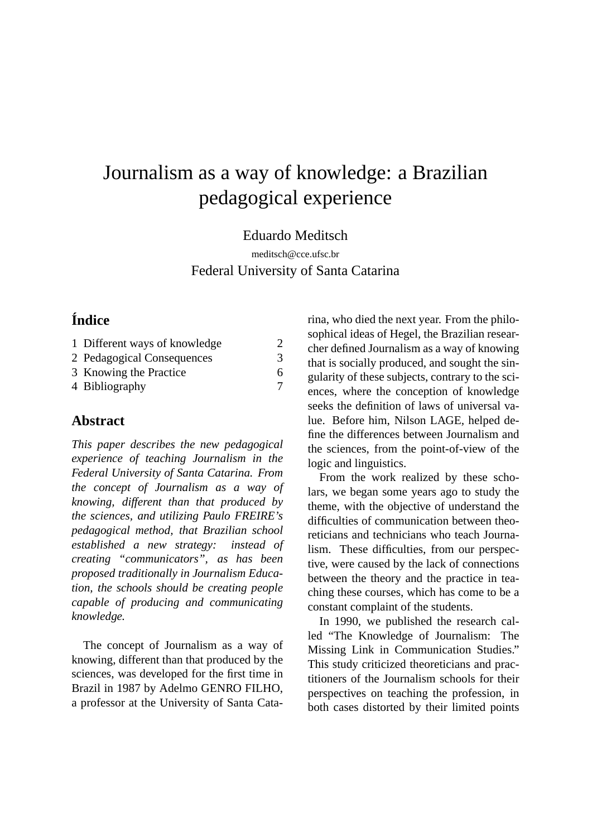# Journalism as a way of knowledge: a Brazilian pedagogical experience

Eduardo Meditsch

meditsch@cce.ufsc.br Federal University of Santa Catarina

# **Índice**

| 1 Different ways of knowledge | 2 |
|-------------------------------|---|
| 2 Pedagogical Consequences    | 3 |
| 3 Knowing the Practice        | 6 |
| 4 Bibliography                |   |

## **Abstract**

*This paper describes the new pedagogical experience of teaching Journalism in the Federal University of Santa Catarina. From the concept of Journalism as a way of knowing, different than that produced by the sciences, and utilizing Paulo FREIRE's pedagogical method, that Brazilian school established a new strategy: instead of creating "communicators", as has been proposed traditionally in Journalism Education, the schools should be creating people capable of producing and communicating knowledge.*

The concept of Journalism as a way of knowing, different than that produced by the sciences, was developed for the first time in Brazil in 1987 by Adelmo GENRO FILHO, a professor at the University of Santa Catarina, who died the next year. From the philosophical ideas of Hegel, the Brazilian researcher defined Journalism as a way of knowing that is socially produced, and sought the singularity of these subjects, contrary to the sciences, where the conception of knowledge seeks the definition of laws of universal value. Before him, Nilson LAGE*,* helped define the differences between Journalism and the sciences, from the point-of-view of the logic and linguistics.

From the work realized by these scholars, we began some years ago to study the theme, with the objective of understand the difficulties of communication between theoreticians and technicians who teach Journalism. These difficulties, from our perspective, were caused by the lack of connections between the theory and the practice in teaching these courses, which has come to be a constant complaint of the students.

In 1990, we published the research called "The Knowledge of Journalism: The Missing Link in Communication Studies." This study criticized theoreticians and practitioners of the Journalism schools for their perspectives on teaching the profession, in both cases distorted by their limited points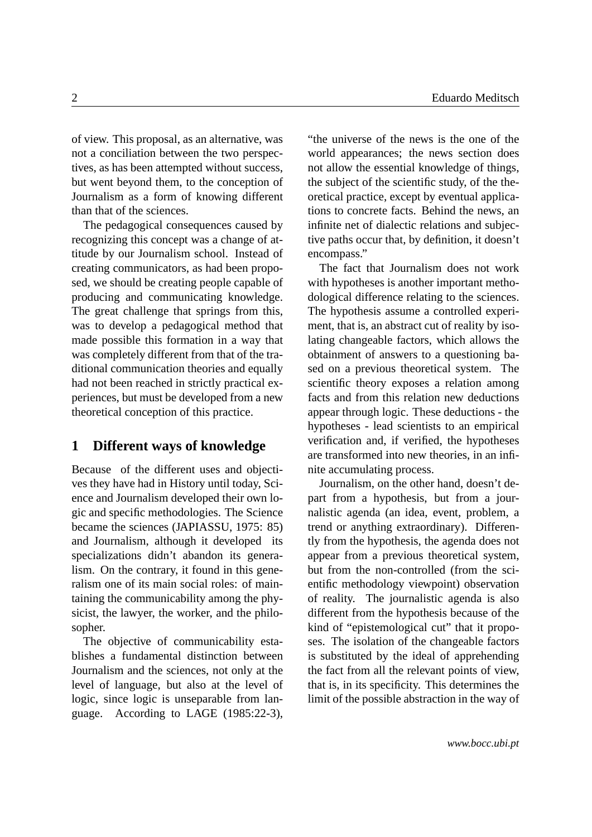of view. This proposal, as an alternative, was not a conciliation between the two perspectives, as has been attempted without success, but went beyond them, to the conception of Journalism as a form of knowing different than that of the sciences.

The pedagogical consequences caused by recognizing this concept was a change of attitude by our Journalism school. Instead of creating communicators, as had been proposed, we should be creating people capable of producing and communicating knowledge. The great challenge that springs from this, was to develop a pedagogical method that made possible this formation in a way that was completely different from that of the traditional communication theories and equally had not been reached in strictly practical experiences, but must be developed from a new theoretical conception of this practice.

#### <span id="page-1-0"></span>**1 Different ways of knowledge**

Because of the different uses and objectives they have had in History until today, Science and Journalism developed their own logic and specific methodologies. The Science became the sciences (JAPIASSU, 1975: 85) and Journalism, although it developed its specializations didn't abandon its generalism. On the contrary, it found in this generalism one of its main social roles: of maintaining the communicability among the physicist, the lawyer, the worker, and the philosopher.

The objective of communicability establishes a fundamental distinction between Journalism and the sciences, not only at the level of language, but also at the level of logic, since logic is unseparable from language. According to LAGE (1985:22-3), "the universe of the news is the one of the world appearances; the news section does not allow the essential knowledge of things, the subject of the scientific study, of the theoretical practice, except by eventual applications to concrete facts. Behind the news, an infinite net of dialectic relations and subjective paths occur that, by definition, it doesn't encompass."

The fact that Journalism does not work with hypotheses is another important methodological difference relating to the sciences. The hypothesis assume a controlled experiment, that is, an abstract cut of reality by isolating changeable factors, which allows the obtainment of answers to a questioning based on a previous theoretical system. The scientific theory exposes a relation among facts and from this relation new deductions appear through logic. These deductions - the hypotheses - lead scientists to an empirical verification and, if verified, the hypotheses are transformed into new theories, in an infinite accumulating process.

Journalism, on the other hand, doesn't depart from a hypothesis, but from a journalistic agenda (an idea, event, problem, a trend or anything extraordinary). Differently from the hypothesis, the agenda does not appear from a previous theoretical system, but from the non-controlled (from the scientific methodology viewpoint) observation of reality. The journalistic agenda is also different from the hypothesis because of the kind of "epistemological cut" that it proposes. The isolation of the changeable factors is substituted by the ideal of apprehending the fact from all the relevant points of view, that is, in its specificity. This determines the limit of the possible abstraction in the way of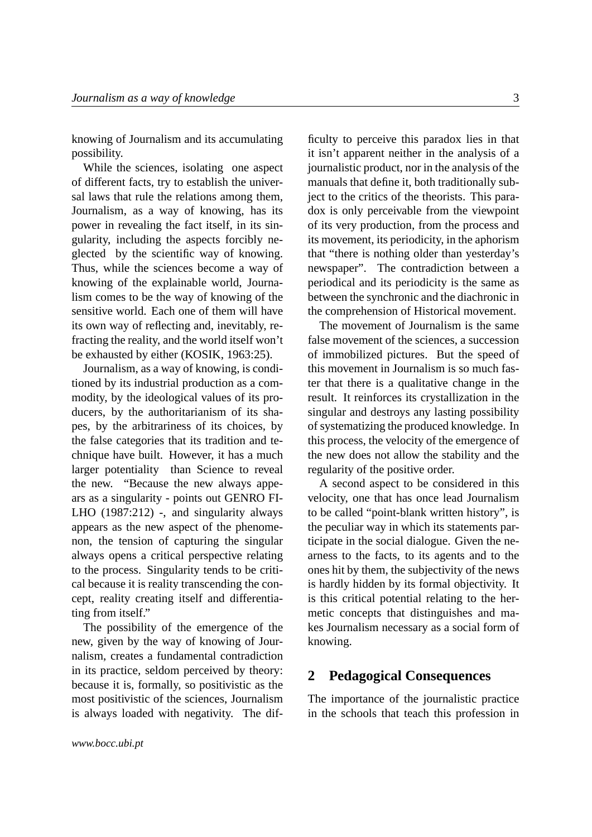knowing of Journalism and its accumulating possibility.

While the sciences, isolating one aspect of different facts, try to establish the universal laws that rule the relations among them, Journalism, as a way of knowing, has its power in revealing the fact itself, in its singularity, including the aspects forcibly neglected by the scientific way of knowing. Thus, while the sciences become a way of knowing of the explainable world, Journalism comes to be the way of knowing of the sensitive world. Each one of them will have its own way of reflecting and, inevitably, refracting the reality, and the world itself won't be exhausted by either (KOSIK, 1963:25).

Journalism, as a way of knowing, is conditioned by its industrial production as a commodity, by the ideological values of its producers, by the authoritarianism of its shapes, by the arbitrariness of its choices, by the false categories that its tradition and technique have built. However, it has a much larger potentiality than Science to reveal the new. "Because the new always appears as a singularity - points out GENRO FI-LHO (1987:212) -, and singularity always appears as the new aspect of the phenomenon, the tension of capturing the singular always opens a critical perspective relating to the process. Singularity tends to be critical because it is reality transcending the concept, reality creating itself and differentiating from itself."

The possibility of the emergence of the new, given by the way of knowing of Journalism, creates a fundamental contradiction in its practice, seldom perceived by theory: because it is, formally, so positivistic as the most positivistic of the sciences, Journalism is always loaded with negativity. The dif-

*www.bocc.ubi.pt*

ficulty to perceive this paradox lies in that it isn't apparent neither in the analysis of a journalistic product, nor in the analysis of the manuals that define it, both traditionally subject to the critics of the theorists. This paradox is only perceivable from the viewpoint of its very production, from the process and its movement, its periodicity, in the aphorism that "there is nothing older than yesterday's newspaper". The contradiction between a periodical and its periodicity is the same as between the synchronic and the diachronic in the comprehension of Historical movement.

The movement of Journalism is the same false movement of the sciences, a succession of immobilized pictures. But the speed of this movement in Journalism is so much faster that there is a qualitative change in the result. It reinforces its crystallization in the singular and destroys any lasting possibility of systematizing the produced knowledge. In this process, the velocity of the emergence of the new does not allow the stability and the regularity of the positive order.

A second aspect to be considered in this velocity, one that has once lead Journalism to be called "point-blank written history", is the peculiar way in which its statements participate in the social dialogue. Given the nearness to the facts, to its agents and to the ones hit by them, the subjectivity of the news is hardly hidden by its formal objectivity. It is this critical potential relating to the hermetic concepts that distinguishes and makes Journalism necessary as a social form of knowing.

#### <span id="page-2-0"></span>**2 Pedagogical Consequences**

The importance of the journalistic practice in the schools that teach this profession in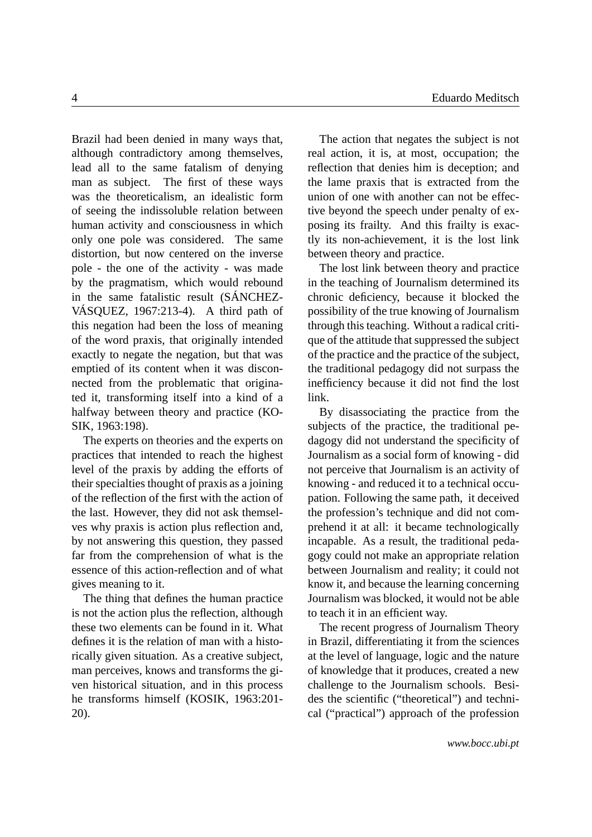Brazil had been denied in many ways that, although contradictory among themselves, lead all to the same fatalism of denying man as subject. The first of these ways was the theoreticalism, an idealistic form of seeing the indissoluble relation between human activity and consciousness in which only one pole was considered. The same distortion, but now centered on the inverse pole - the one of the activity - was made by the pragmatism, which would rebound in the same fatalistic result (SÁNCHEZ-VÁSQUEZ, 1967:213-4). A third path of this negation had been the loss of meaning of the word praxis, that originally intended exactly to negate the negation, but that was emptied of its content when it was disconnected from the problematic that originated it, transforming itself into a kind of a halfway between theory and practice (KO-SIK, 1963:198).

The experts on theories and the experts on practices that intended to reach the highest level of the praxis by adding the efforts of their specialties thought of praxis as a joining of the reflection of the first with the action of the last. However, they did not ask themselves why praxis is action plus reflection and, by not answering this question, they passed far from the comprehension of what is the essence of this action-reflection and of what gives meaning to it.

The thing that defines the human practice is not the action plus the reflection, although these two elements can be found in it. What defines it is the relation of man with a historically given situation. As a creative subject, man perceives, knows and transforms the given historical situation, and in this process he transforms himself (KOSIK, 1963:201- 20).

The action that negates the subject is not real action, it is, at most, occupation; the reflection that denies him is deception; and the lame praxis that is extracted from the union of one with another can not be effective beyond the speech under penalty of exposing its frailty. And this frailty is exactly its non-achievement, it is the lost link between theory and practice.

The lost link between theory and practice in the teaching of Journalism determined its chronic deficiency, because it blocked the possibility of the true knowing of Journalism through this teaching. Without a radical critique of the attitude that suppressed the subject of the practice and the practice of the subject, the traditional pedagogy did not surpass the inefficiency because it did not find the lost link.

By disassociating the practice from the subjects of the practice, the traditional pedagogy did not understand the specificity of Journalism as a social form of knowing - did not perceive that Journalism is an activity of knowing - and reduced it to a technical occupation. Following the same path, it deceived the profession's technique and did not comprehend it at all: it became technologically incapable. As a result, the traditional pedagogy could not make an appropriate relation between Journalism and reality; it could not know it, and because the learning concerning Journalism was blocked, it would not be able to teach it in an efficient way.

The recent progress of Journalism Theory in Brazil, differentiating it from the sciences at the level of language, logic and the nature of knowledge that it produces, created a new challenge to the Journalism schools. Besides the scientific ("theoretical") and technical ("practical") approach of the profession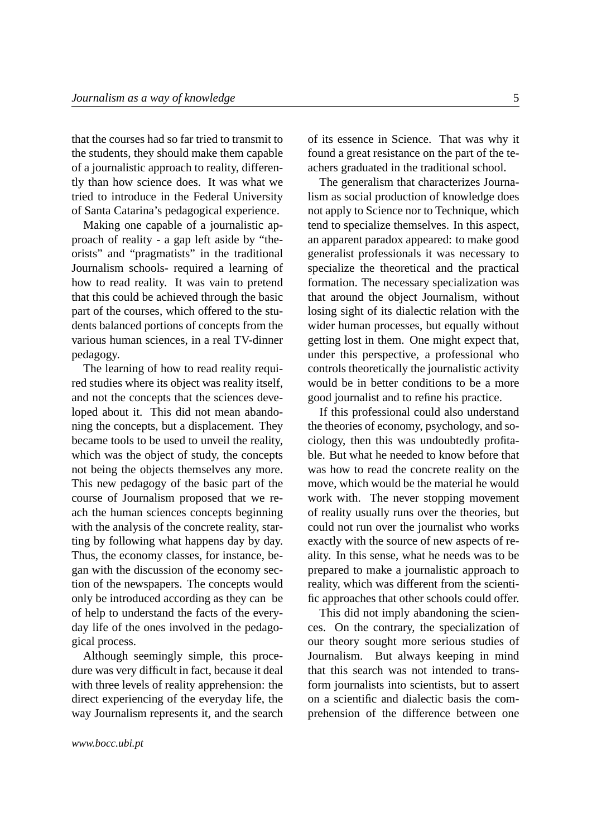that the courses had so far tried to transmit to the students, they should make them capable of a journalistic approach to reality, differently than how science does. It was what we tried to introduce in the Federal University of Santa Catarina's pedagogical experience.

Making one capable of a journalistic approach of reality - a gap left aside by "theorists" and "pragmatists" in the traditional Journalism schools- required a learning of how to read reality. It was vain to pretend that this could be achieved through the basic part of the courses, which offered to the students balanced portions of concepts from the various human sciences, in a real TV-dinner pedagogy.

The learning of how to read reality required studies where its object was reality itself, and not the concepts that the sciences developed about it. This did not mean abandoning the concepts, but a displacement. They became tools to be used to unveil the reality, which was the object of study, the concepts not being the objects themselves any more. This new pedagogy of the basic part of the course of Journalism proposed that we reach the human sciences concepts beginning with the analysis of the concrete reality, starting by following what happens day by day. Thus, the economy classes, for instance, began with the discussion of the economy section of the newspapers. The concepts would only be introduced according as they can be of help to understand the facts of the everyday life of the ones involved in the pedagogical process.

Although seemingly simple, this procedure was very difficult in fact, because it deal with three levels of reality apprehension: the direct experiencing of the everyday life, the way Journalism represents it, and the search of its essence in Science. That was why it found a great resistance on the part of the teachers graduated in the traditional school.

The generalism that characterizes Journalism as social production of knowledge does not apply to Science nor to Technique, which tend to specialize themselves. In this aspect, an apparent paradox appeared: to make good generalist professionals it was necessary to specialize the theoretical and the practical formation. The necessary specialization was that around the object Journalism, without losing sight of its dialectic relation with the wider human processes, but equally without getting lost in them. One might expect that, under this perspective, a professional who controls theoretically the journalistic activity would be in better conditions to be a more good journalist and to refine his practice.

If this professional could also understand the theories of economy, psychology, and sociology, then this was undoubtedly profitable. But what he needed to know before that was how to read the concrete reality on the move, which would be the material he would work with. The never stopping movement of reality usually runs over the theories, but could not run over the journalist who works exactly with the source of new aspects of reality. In this sense, what he needs was to be prepared to make a journalistic approach to reality, which was different from the scientific approaches that other schools could offer.

This did not imply abandoning the sciences. On the contrary, the specialization of our theory sought more serious studies of Journalism. But always keeping in mind that this search was not intended to transform journalists into scientists, but to assert on a scientific and dialectic basis the comprehension of the difference between one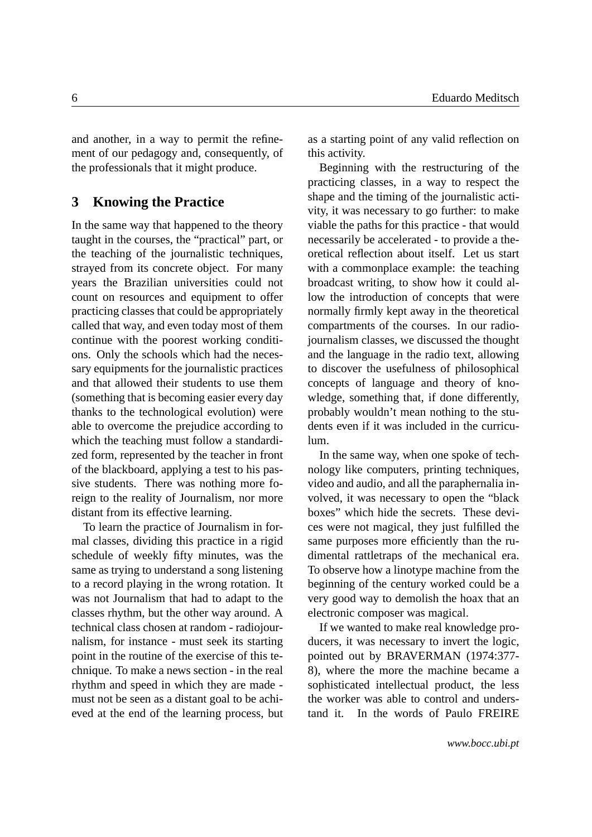and another, in a way to permit the refinement of our pedagogy and, consequently, of the professionals that it might produce.

#### <span id="page-5-0"></span>**3 Knowing the Practice**

In the same way that happened to the theory taught in the courses, the "practical" part, or the teaching of the journalistic techniques, strayed from its concrete object. For many years the Brazilian universities could not count on resources and equipment to offer practicing classes that could be appropriately called that way, and even today most of them continue with the poorest working conditions. Only the schools which had the necessary equipments for the journalistic practices and that allowed their students to use them (something that is becoming easier every day thanks to the technological evolution) were able to overcome the prejudice according to which the teaching must follow a standardized form, represented by the teacher in front of the blackboard, applying a test to his passive students. There was nothing more foreign to the reality of Journalism, nor more distant from its effective learning.

To learn the practice of Journalism in formal classes, dividing this practice in a rigid schedule of weekly fifty minutes, was the same as trying to understand a song listening to a record playing in the wrong rotation. It was not Journalism that had to adapt to the classes rhythm, but the other way around. A technical class chosen at random - radiojournalism, for instance - must seek its starting point in the routine of the exercise of this technique. To make a news section - in the real rhythm and speed in which they are made must not be seen as a distant goal to be achieved at the end of the learning process, but as a starting point of any valid reflection on this activity.

Beginning with the restructuring of the practicing classes, in a way to respect the shape and the timing of the journalistic activity, it was necessary to go further: to make viable the paths for this practice - that would necessarily be accelerated - to provide a theoretical reflection about itself. Let us start with a commonplace example: the teaching broadcast writing, to show how it could allow the introduction of concepts that were normally firmly kept away in the theoretical compartments of the courses. In our radiojournalism classes, we discussed the thought and the language in the radio text, allowing to discover the usefulness of philosophical concepts of language and theory of knowledge, something that, if done differently, probably wouldn't mean nothing to the students even if it was included in the curriculum.

In the same way, when one spoke of technology like computers, printing techniques, video and audio, and all the paraphernalia involved, it was necessary to open the "black boxes" which hide the secrets. These devices were not magical, they just fulfilled the same purposes more efficiently than the rudimental rattletraps of the mechanical era. To observe how a linotype machine from the beginning of the century worked could be a very good way to demolish the hoax that an electronic composer was magical.

If we wanted to make real knowledge producers, it was necessary to invert the logic, pointed out by BRAVERMAN (1974:377- 8), where the more the machine became a sophisticated intellectual product, the less the worker was able to control and understand it. In the words of Paulo FREIRE